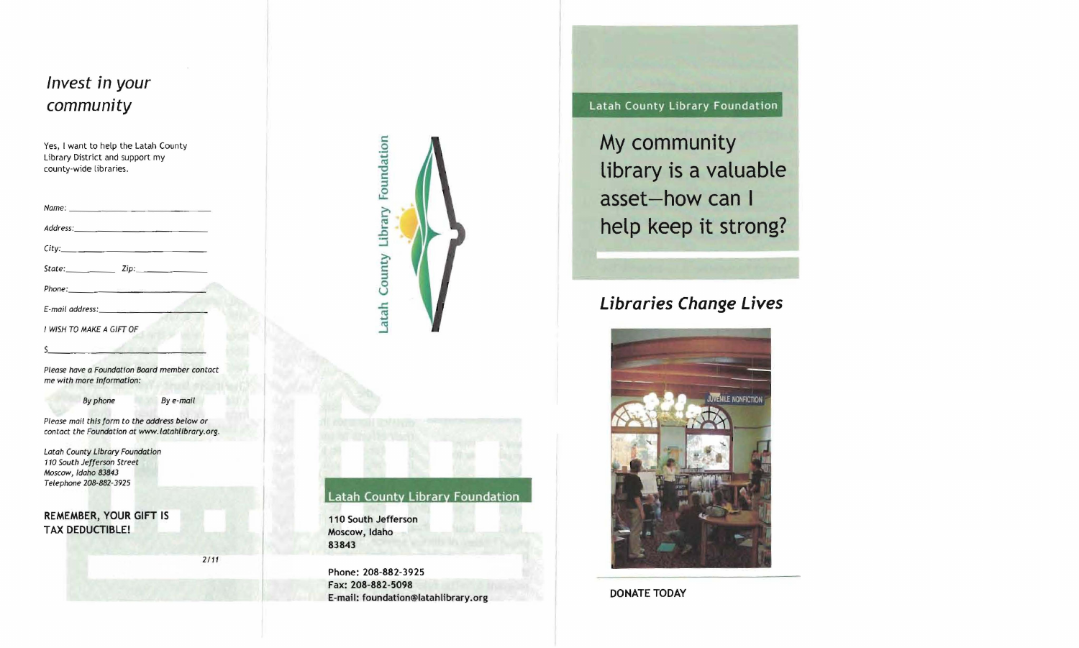



#### **Latah County Library Foundation**

**110 South Jefferson Moscow, Idaho 83843** 

**Phone: 208-882-3925 Fax: 208-882-5098 E-mail: foundation@latahlibrary.org**  **Latah County Library Foundation** 

**My community library is a valuable asset-how can I help keep it strong?** 

# **L;brar;es Change L;ves**



**DONATE TODAY**